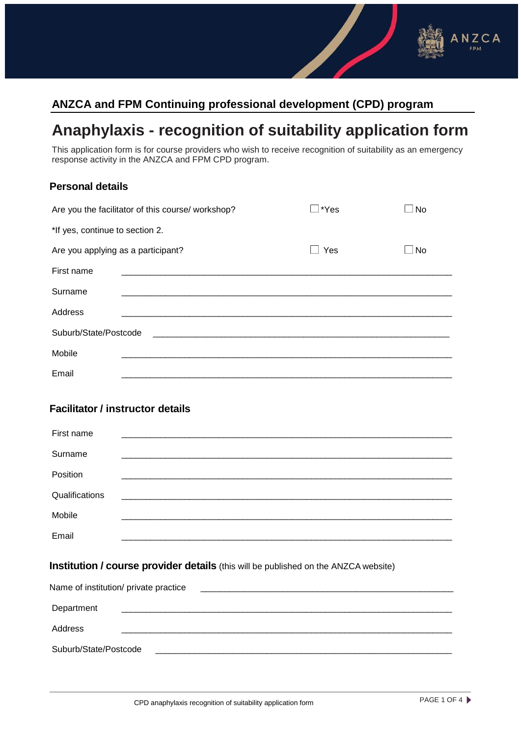## **ANZCA and FPM Continuing professional development (CPD) program**

# **Anaphylaxis - recognition of suitability application form**

This application form is for course providers who wish to receive recognition of suitability as an emergency response activity in the ANZCA and FPM CPD program.

| <b>Personal details</b>                           |  |  |                |  |           |  |
|---------------------------------------------------|--|--|----------------|--|-----------|--|
| Are you the facilitator of this course/ workshop? |  |  | $\square$ *Yes |  | $\Box$ No |  |
| *If yes, continue to section 2.                   |  |  |                |  |           |  |
| Are you applying as a participant?                |  |  | $\Box$ Yes     |  | $\Box$ No |  |
| First name                                        |  |  |                |  |           |  |
| Surname                                           |  |  |                |  |           |  |
| Address                                           |  |  |                |  |           |  |
| Suburb/State/Postcode                             |  |  |                |  |           |  |
| Mobile                                            |  |  |                |  |           |  |
| Email                                             |  |  |                |  |           |  |
| <b>Facilitator / instructor details</b>           |  |  |                |  |           |  |
| First name                                        |  |  |                |  |           |  |
| Surname                                           |  |  |                |  |           |  |
| Position                                          |  |  |                |  |           |  |
| Qualifications                                    |  |  |                |  |           |  |
| Mobile                                            |  |  |                |  |           |  |
| Email                                             |  |  |                |  |           |  |
|                                                   |  |  |                |  |           |  |

### **Institution / course provider details** (this will be published on the ANZCA website)

| Name of institution/ private practice |  |  |  |  |
|---------------------------------------|--|--|--|--|
|                                       |  |  |  |  |
| Department                            |  |  |  |  |
| Address                               |  |  |  |  |
| Suburb/State/Postcode                 |  |  |  |  |

NZCA FPM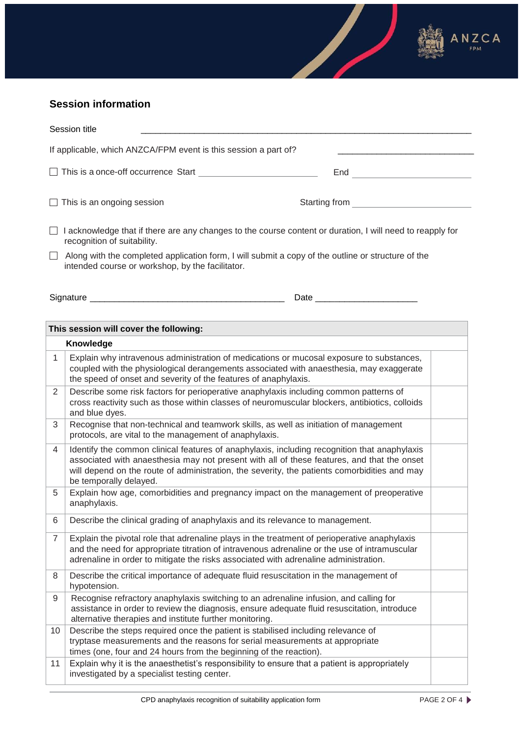

## **Session information**

| Session title                                                   |                                                                                                                                                                                                                                                                                                                      |  |  |  |  |
|-----------------------------------------------------------------|----------------------------------------------------------------------------------------------------------------------------------------------------------------------------------------------------------------------------------------------------------------------------------------------------------------------|--|--|--|--|
| If applicable, which ANZCA/FPM event is this session a part of? |                                                                                                                                                                                                                                                                                                                      |  |  |  |  |
|                                                                 | This is a once-off occurrence Start and the control of the control of the control of the control of the control of the control of the control of the control of the control of the control of the control of the control of th<br>End <b>Experiment Structure (End</b>                                               |  |  |  |  |
|                                                                 | Starting from<br>This is an ongoing session                                                                                                                                                                                                                                                                          |  |  |  |  |
|                                                                 | I acknowledge that if there are any changes to the course content or duration, I will need to reapply for<br>recognition of suitability.                                                                                                                                                                             |  |  |  |  |
|                                                                 | Along with the completed application form, I will submit a copy of the outline or structure of the<br>intended course or workshop, by the facilitator.                                                                                                                                                               |  |  |  |  |
|                                                                 | Date and the contract of the contract of the contract of the contract of the contract of the contract of the contract of the contract of the contract of the contract of the contract of the contract of the contract of the c                                                                                       |  |  |  |  |
|                                                                 | This session will cover the following:                                                                                                                                                                                                                                                                               |  |  |  |  |
|                                                                 | Knowledge                                                                                                                                                                                                                                                                                                            |  |  |  |  |
| 1                                                               | Explain why intravenous administration of medications or mucosal exposure to substances,<br>coupled with the physiological derangements associated with anaesthesia, may exaggerate<br>the speed of onset and severity of the features of anaphylaxis.                                                               |  |  |  |  |
| 2                                                               | Describe some risk factors for perioperative anaphylaxis including common patterns of<br>cross reactivity such as those within classes of neuromuscular blockers, antibiotics, colloids<br>and blue dyes.                                                                                                            |  |  |  |  |
| 3                                                               | Recognise that non-technical and teamwork skills, as well as initiation of management<br>protocols, are vital to the management of anaphylaxis.                                                                                                                                                                      |  |  |  |  |
| 4                                                               | Identify the common clinical features of anaphylaxis, including recognition that anaphylaxis<br>associated with anaesthesia may not present with all of these features, and that the onset<br>will depend on the route of administration, the severity, the patients comorbidities and may<br>be temporally delayed. |  |  |  |  |
| 5                                                               | Explain how age, comorbidities and pregnancy impact on the management of preoperative<br>anaphylaxis.                                                                                                                                                                                                                |  |  |  |  |
| 6                                                               | Describe the clinical grading of anaphylaxis and its relevance to management.                                                                                                                                                                                                                                        |  |  |  |  |
| 7                                                               | Explain the pivotal role that adrenaline plays in the treatment of perioperative anaphylaxis<br>and the need for appropriate titration of intravenous adrenaline or the use of intramuscular<br>adrenaline in order to mitigate the risks associated with adrenaline administration.                                 |  |  |  |  |
| 8                                                               | Describe the critical importance of adequate fluid resuscitation in the management of<br>hypotension.                                                                                                                                                                                                                |  |  |  |  |
| 9                                                               | Recognise refractory anaphylaxis switching to an adrenaline infusion, and calling for<br>assistance in order to review the diagnosis, ensure adequate fluid resuscitation, introduce<br>alternative therapies and institute further monitoring.                                                                      |  |  |  |  |
| 10                                                              | Describe the steps required once the patient is stabilised including relevance of<br>tryptase measurements and the reasons for serial measurements at appropriate<br>times (one, four and 24 hours from the beginning of the reaction).                                                                              |  |  |  |  |
| 11                                                              | Explain why it is the anaesthetist's responsibility to ensure that a patient is appropriately<br>investigated by a specialist testing center.                                                                                                                                                                        |  |  |  |  |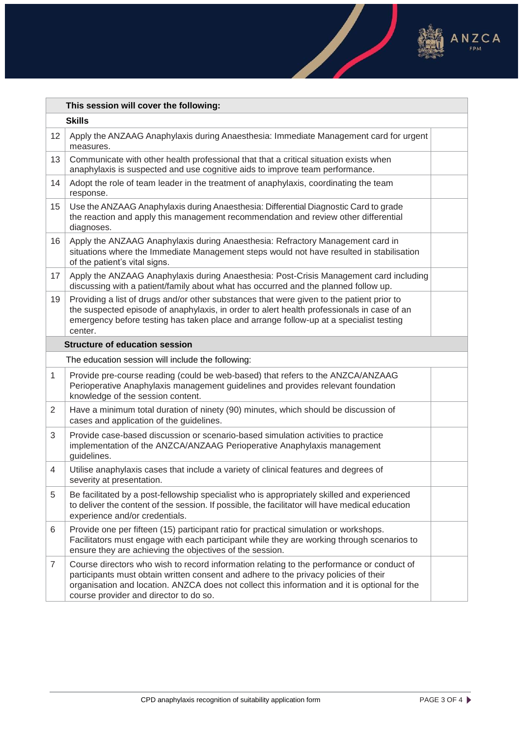

 $\frac{\partial}{\partial x^2}$ 

|                 | This session will cover the following:                                                                                                                                                                                                                                                                                       |  |  |  |
|-----------------|------------------------------------------------------------------------------------------------------------------------------------------------------------------------------------------------------------------------------------------------------------------------------------------------------------------------------|--|--|--|
| <b>Skills</b>   |                                                                                                                                                                                                                                                                                                                              |  |  |  |
| 12 <sup>2</sup> | Apply the ANZAAG Anaphylaxis during Anaesthesia: Immediate Management card for urgent<br>measures.                                                                                                                                                                                                                           |  |  |  |
| 13              | Communicate with other health professional that that a critical situation exists when<br>anaphylaxis is suspected and use cognitive aids to improve team performance.                                                                                                                                                        |  |  |  |
| 14              | Adopt the role of team leader in the treatment of anaphylaxis, coordinating the team<br>response.                                                                                                                                                                                                                            |  |  |  |
| 15              | Use the ANZAAG Anaphylaxis during Anaesthesia: Differential Diagnostic Card to grade<br>the reaction and apply this management recommendation and review other differential<br>diagnoses.                                                                                                                                    |  |  |  |
| 16              | Apply the ANZAAG Anaphylaxis during Anaesthesia: Refractory Management card in<br>situations where the Immediate Management steps would not have resulted in stabilisation<br>of the patient's vital signs.                                                                                                                  |  |  |  |
| 17              | Apply the ANZAAG Anaphylaxis during Anaesthesia: Post-Crisis Management card including<br>discussing with a patient/family about what has occurred and the planned follow up.                                                                                                                                                |  |  |  |
| 19              | Providing a list of drugs and/or other substances that were given to the patient prior to<br>the suspected episode of anaphylaxis, in order to alert health professionals in case of an<br>emergency before testing has taken place and arrange follow-up at a specialist testing<br>center.                                 |  |  |  |
|                 | <b>Structure of education session</b>                                                                                                                                                                                                                                                                                        |  |  |  |
|                 | The education session will include the following:                                                                                                                                                                                                                                                                            |  |  |  |
| $\mathbf{1}$    | Provide pre-course reading (could be web-based) that refers to the ANZCA/ANZAAG<br>Perioperative Anaphylaxis management guidelines and provides relevant foundation<br>knowledge of the session content.                                                                                                                     |  |  |  |
| $\overline{2}$  | Have a minimum total duration of ninety (90) minutes, which should be discussion of<br>cases and application of the guidelines.                                                                                                                                                                                              |  |  |  |
| 3               | Provide case-based discussion or scenario-based simulation activities to practice<br>implementation of the ANZCA/ANZAAG Perioperative Anaphylaxis management<br>guidelines.                                                                                                                                                  |  |  |  |
| 4               | Utilise anaphylaxis cases that include a variety of clinical features and degrees of<br>severity at presentation.                                                                                                                                                                                                            |  |  |  |
| 5               | Be facilitated by a post-fellowship specialist who is appropriately skilled and experienced<br>to deliver the content of the session. If possible, the facilitator will have medical education<br>experience and/or credentials.                                                                                             |  |  |  |
| 6               | Provide one per fifteen (15) participant ratio for practical simulation or workshops.<br>Facilitators must engage with each participant while they are working through scenarios to<br>ensure they are achieving the objectives of the session.                                                                              |  |  |  |
| $\overline{7}$  | Course directors who wish to record information relating to the performance or conduct of<br>participants must obtain written consent and adhere to the privacy policies of their<br>organisation and location. ANZCA does not collect this information and it is optional for the<br>course provider and director to do so. |  |  |  |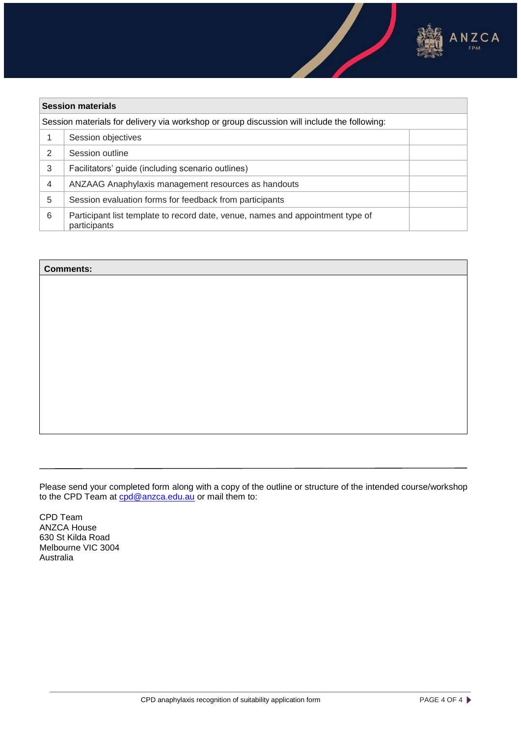

| <b>Session materials</b>                                                                    |                                                                                                |  |
|---------------------------------------------------------------------------------------------|------------------------------------------------------------------------------------------------|--|
| Session materials for delivery via workshop or group discussion will include the following: |                                                                                                |  |
|                                                                                             | Session objectives                                                                             |  |
| 2                                                                                           | Session outline                                                                                |  |
| 3                                                                                           | Facilitators' guide (including scenario outlines)                                              |  |
| $\overline{4}$                                                                              | ANZAAG Anaphylaxis management resources as handouts                                            |  |
| 5                                                                                           | Session evaluation forms for feedback from participants                                        |  |
| 6                                                                                           | Participant list template to record date, venue, names and appointment type of<br>participants |  |

#### **Comments:**

Please send your completed form along with a copy of the outline or structure of the intended course/workshop to the CPD Team at cod@anzca.edu.au or mail them to:

CPD Team ANZCA House 630 St Kilda Road Melbourne VIC 3004 Australia